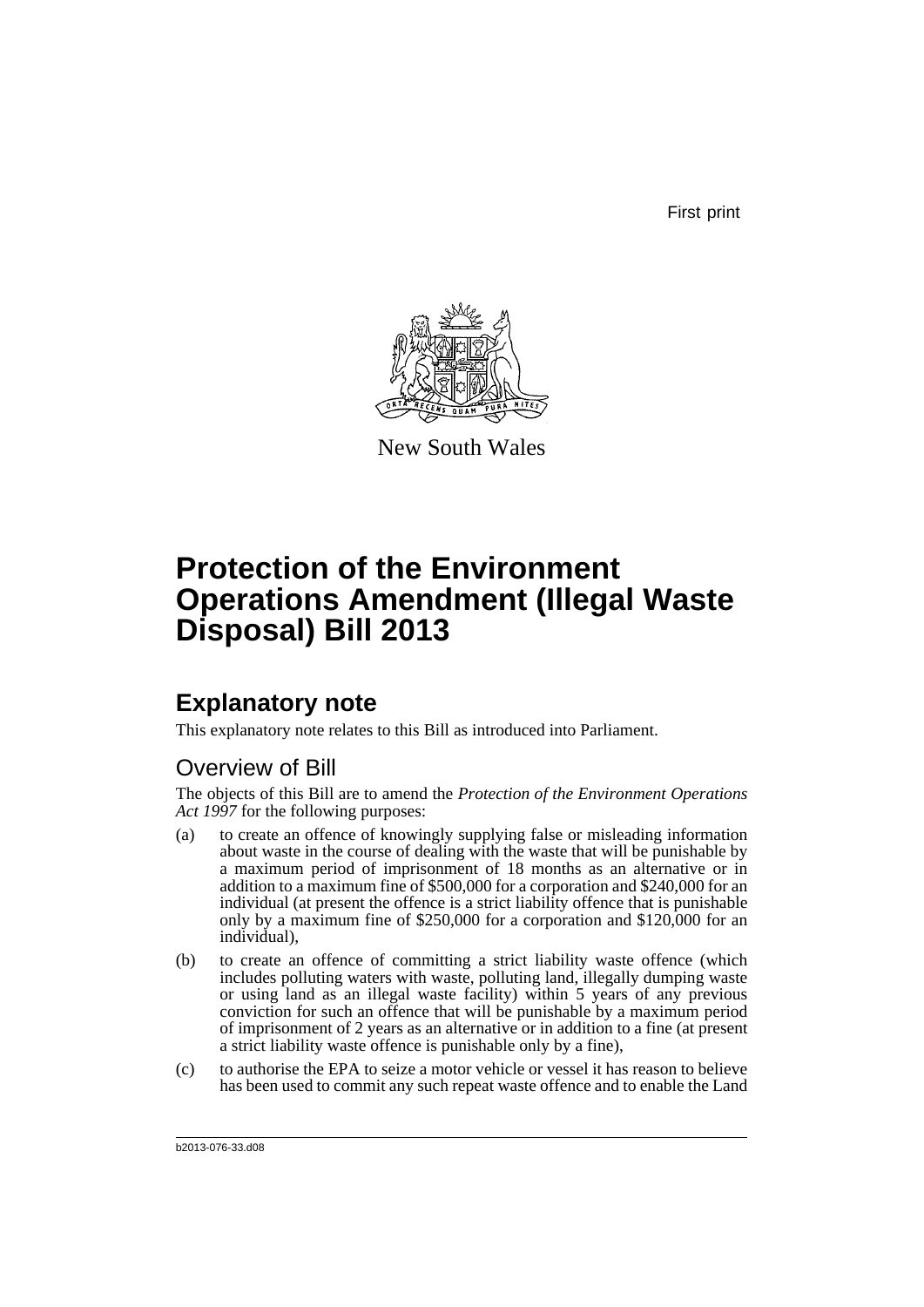First print



New South Wales

# **Protection of the Environment Operations Amendment (Illegal Waste Disposal) Bill 2013**

## **Explanatory note**

This explanatory note relates to this Bill as introduced into Parliament.

### Overview of Bill

The objects of this Bill are to amend the *Protection of the Environment Operations Act 1997* for the following purposes:

- (a) to create an offence of knowingly supplying false or misleading information about waste in the course of dealing with the waste that will be punishable by a maximum period of imprisonment of 18 months as an alternative or in addition to a maximum fine of \$500,000 for a corporation and \$240,000 for an individual (at present the offence is a strict liability offence that is punishable only by a maximum fine of \$250,000 for a corporation and \$120,000 for an individual),
- (b) to create an offence of committing a strict liability waste offence (which includes polluting waters with waste, polluting land, illegally dumping waste or using land as an illegal waste facility) within 5 years of any previous conviction for such an offence that will be punishable by a maximum period of imprisonment of 2 years as an alternative or in addition to a fine (at present a strict liability waste offence is punishable only by a fine),
- (c) to authorise the EPA to seize a motor vehicle or vessel it has reason to believe has been used to commit any such repeat waste offence and to enable the Land

b2013-076-33.d08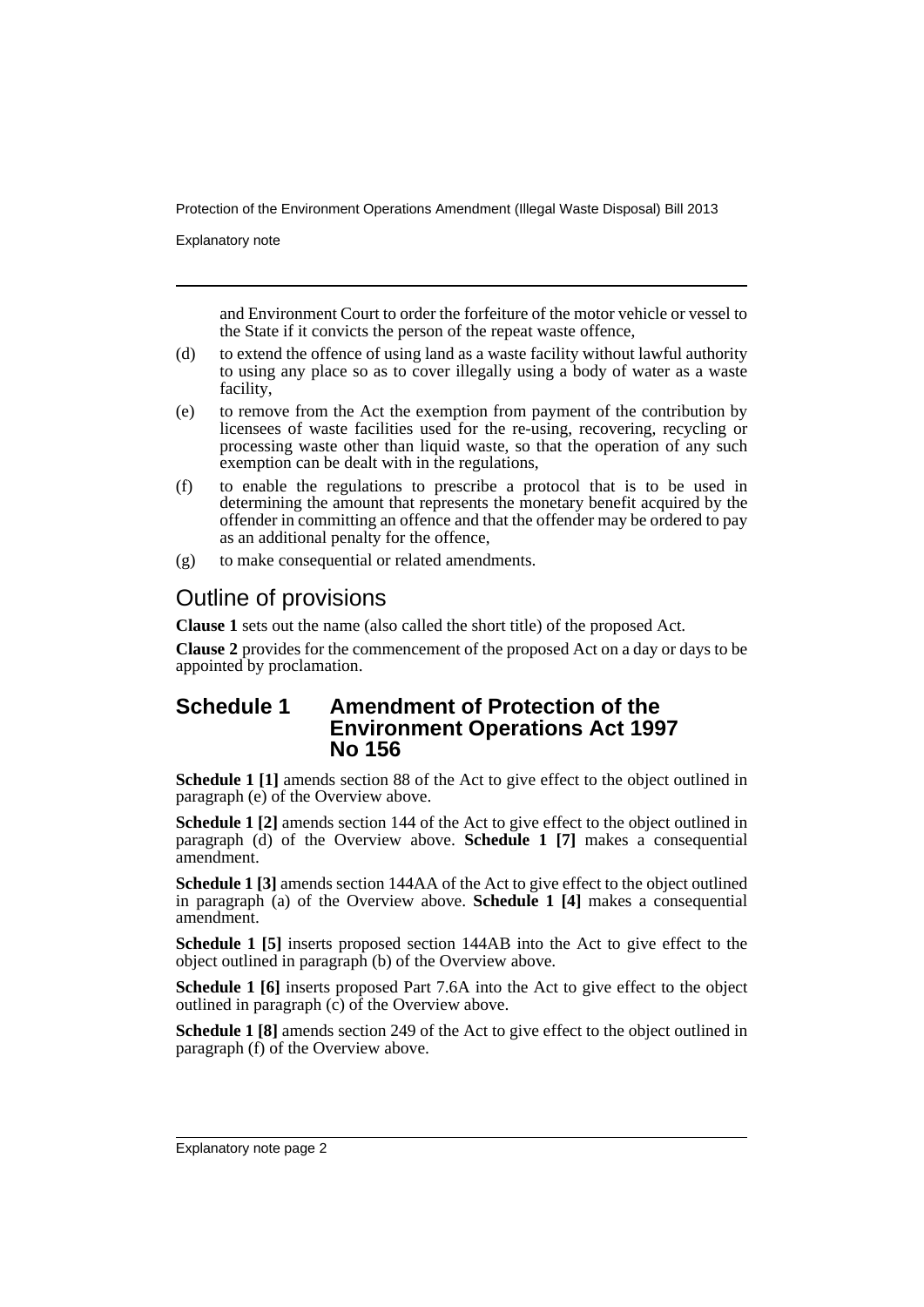Explanatory note

and Environment Court to order the forfeiture of the motor vehicle or vessel to the State if it convicts the person of the repeat waste offence,

- (d) to extend the offence of using land as a waste facility without lawful authority to using any place so as to cover illegally using a body of water as a waste facility,
- (e) to remove from the Act the exemption from payment of the contribution by licensees of waste facilities used for the re-using, recovering, recycling or processing waste other than liquid waste, so that the operation of any such exemption can be dealt with in the regulations,
- (f) to enable the regulations to prescribe a protocol that is to be used in determining the amount that represents the monetary benefit acquired by the offender in committing an offence and that the offender may be ordered to pay as an additional penalty for the offence,
- (g) to make consequential or related amendments.

### Outline of provisions

**Clause 1** sets out the name (also called the short title) of the proposed Act.

**Clause 2** provides for the commencement of the proposed Act on a day or days to be appointed by proclamation.

### **Schedule 1 Amendment of Protection of the Environment Operations Act 1997 No 156**

**Schedule 1 [1]** amends section 88 of the Act to give effect to the object outlined in paragraph (e) of the Overview above.

**Schedule 1 [2]** amends section 144 of the Act to give effect to the object outlined in paragraph (d) of the Overview above. **Schedule 1 [7]** makes a consequential amendment.

**Schedule 1 [3]** amends section 144AA of the Act to give effect to the object outlined in paragraph (a) of the Overview above. **Schedule 1 [4]** makes a consequential amendment.

**Schedule 1 [5]** inserts proposed section 144AB into the Act to give effect to the object outlined in paragraph (b) of the Overview above.

**Schedule 1 [6]** inserts proposed Part 7.6A into the Act to give effect to the object outlined in paragraph  $(c)$  of the Overview above.

**Schedule 1 [8]** amends section 249 of the Act to give effect to the object outlined in paragraph (f) of the Overview above.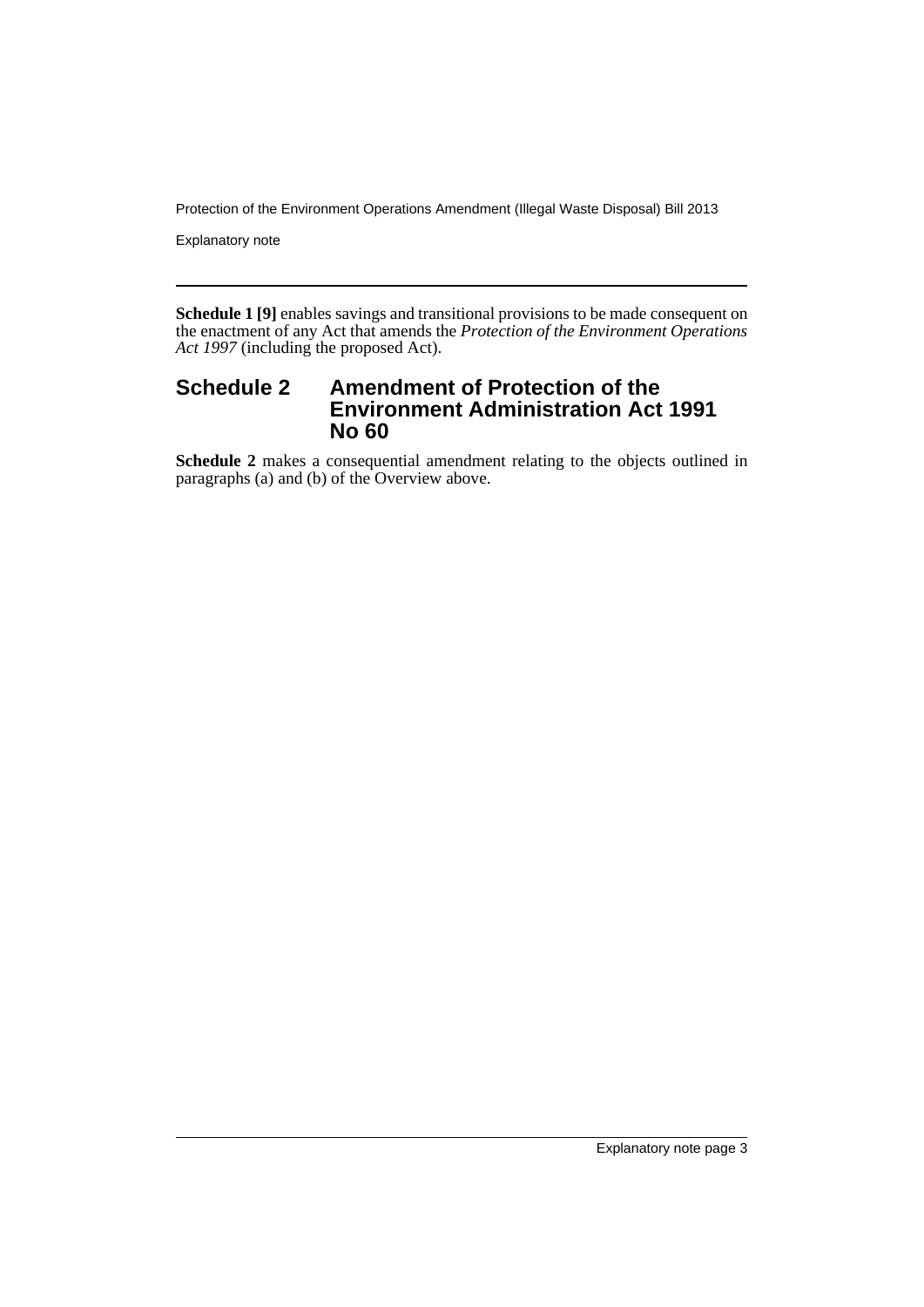Explanatory note

**Schedule 1 [9]** enables savings and transitional provisions to be made consequent on the enactment of any Act that amends the *Protection of the Environment Operations Act 1997* (including the proposed Act).

### **Schedule 2 Amendment of Protection of the Environment Administration Act 1991 No 60**

**Schedule 2** makes a consequential amendment relating to the objects outlined in paragraphs (a) and (b) of the Overview above.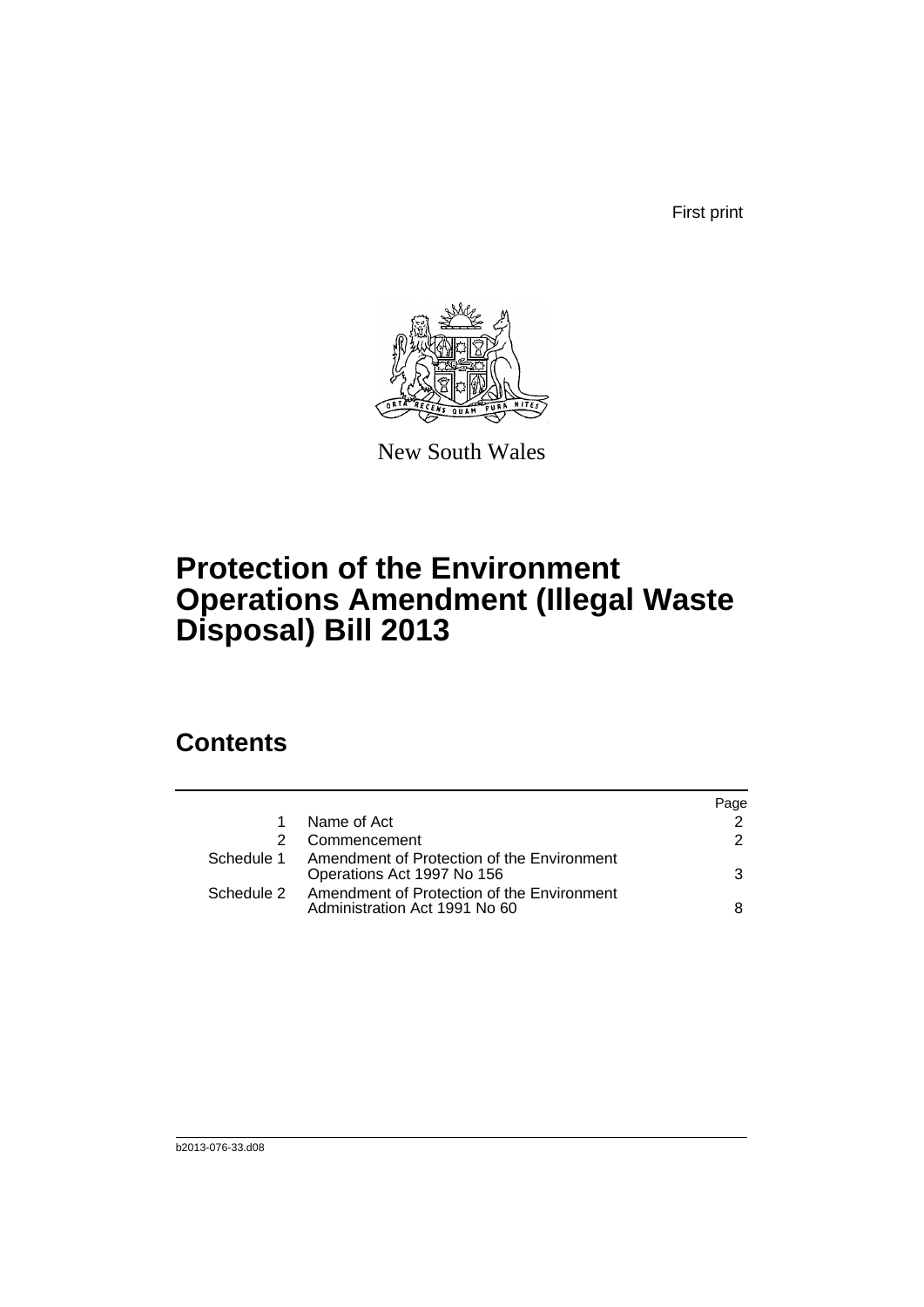First print



New South Wales

# **Protection of the Environment Operations Amendment (Illegal Waste Disposal) Bill 2013**

## **Contents**

|    |                                                                                        | Page |
|----|----------------------------------------------------------------------------------------|------|
| 1. | Name of Act                                                                            | 2    |
|    | Commencement                                                                           | 2    |
|    | Schedule 1 Amendment of Protection of the Environment<br>Operations Act 1997 No 156    | 3    |
|    | Schedule 2 Amendment of Protection of the Environment<br>Administration Act 1991 No 60 | 8    |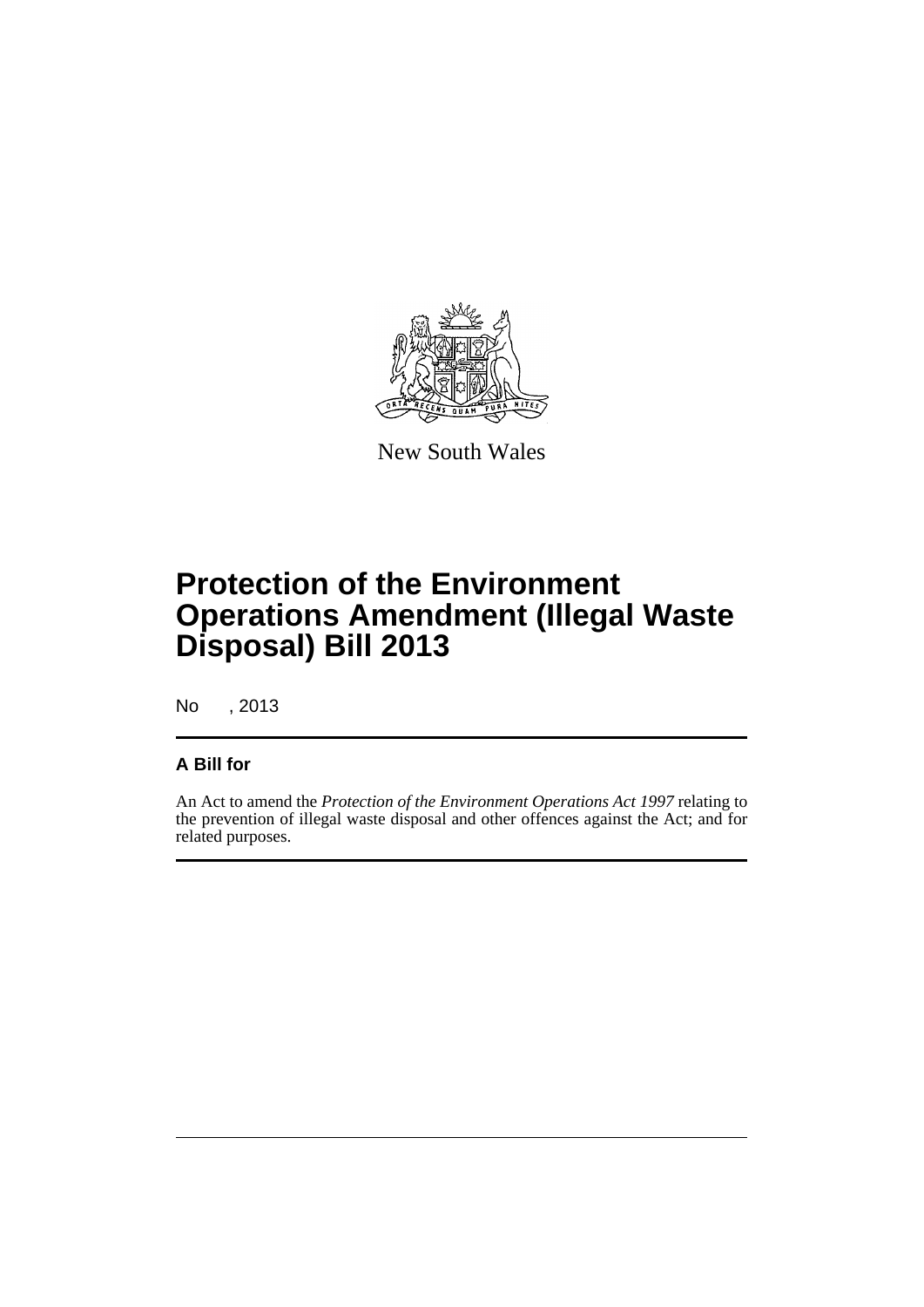

New South Wales

# **Protection of the Environment Operations Amendment (Illegal Waste Disposal) Bill 2013**

No , 2013

#### **A Bill for**

An Act to amend the *Protection of the Environment Operations Act 1997* relating to the prevention of illegal waste disposal and other offences against the Act; and for related purposes.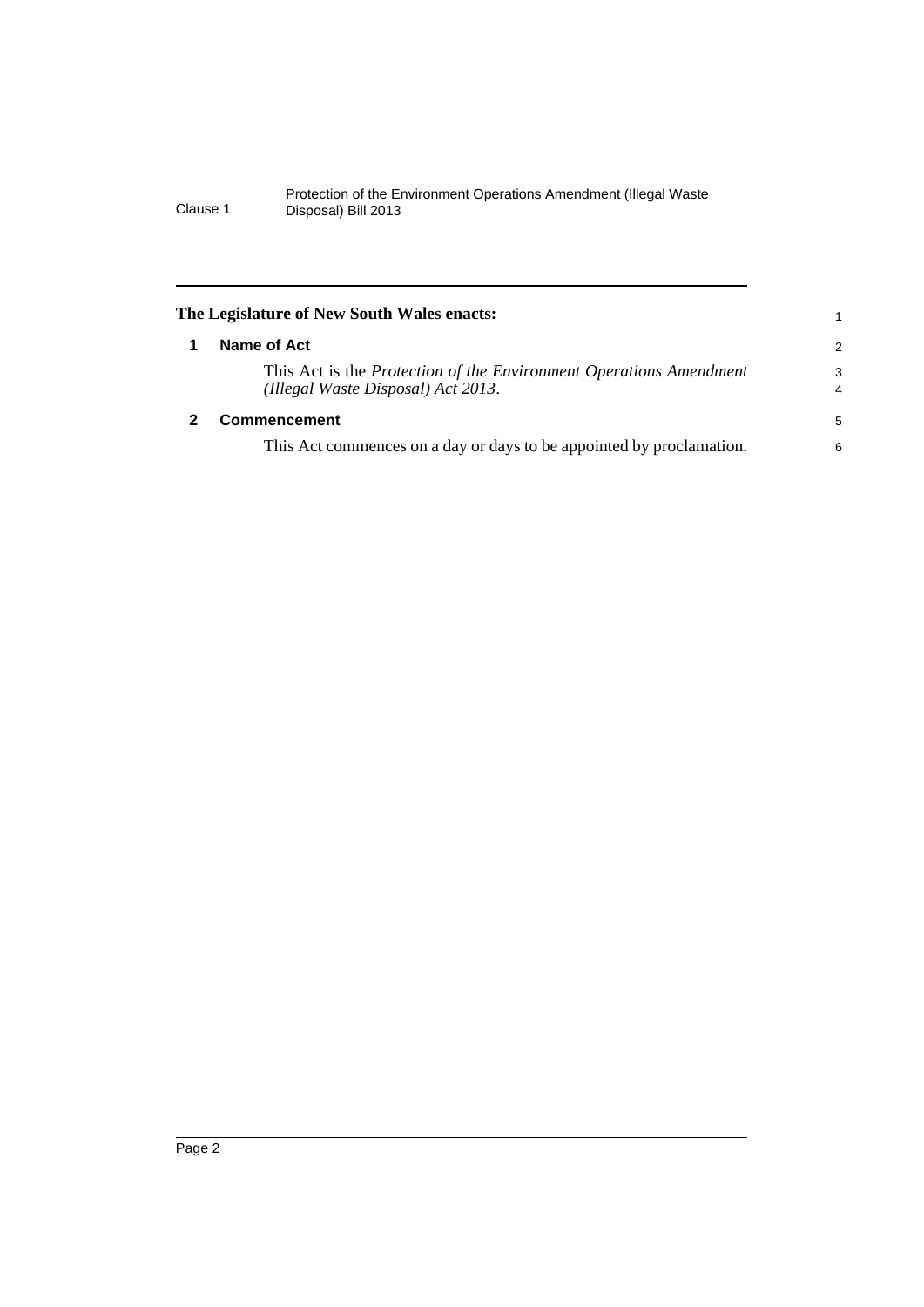<span id="page-7-1"></span><span id="page-7-0"></span>

| The Legislature of New South Wales enacts:                                                               |                     |
|----------------------------------------------------------------------------------------------------------|---------------------|
| Name of Act                                                                                              | 2                   |
| This Act is the Protection of the Environment Operations Amendment<br>(Illegal Waste Disposal) Act 2013. | 3<br>$\overline{4}$ |
| Commencement                                                                                             | 5                   |
| This Act commences on a day or days to be appointed by proclamation.                                     | 6                   |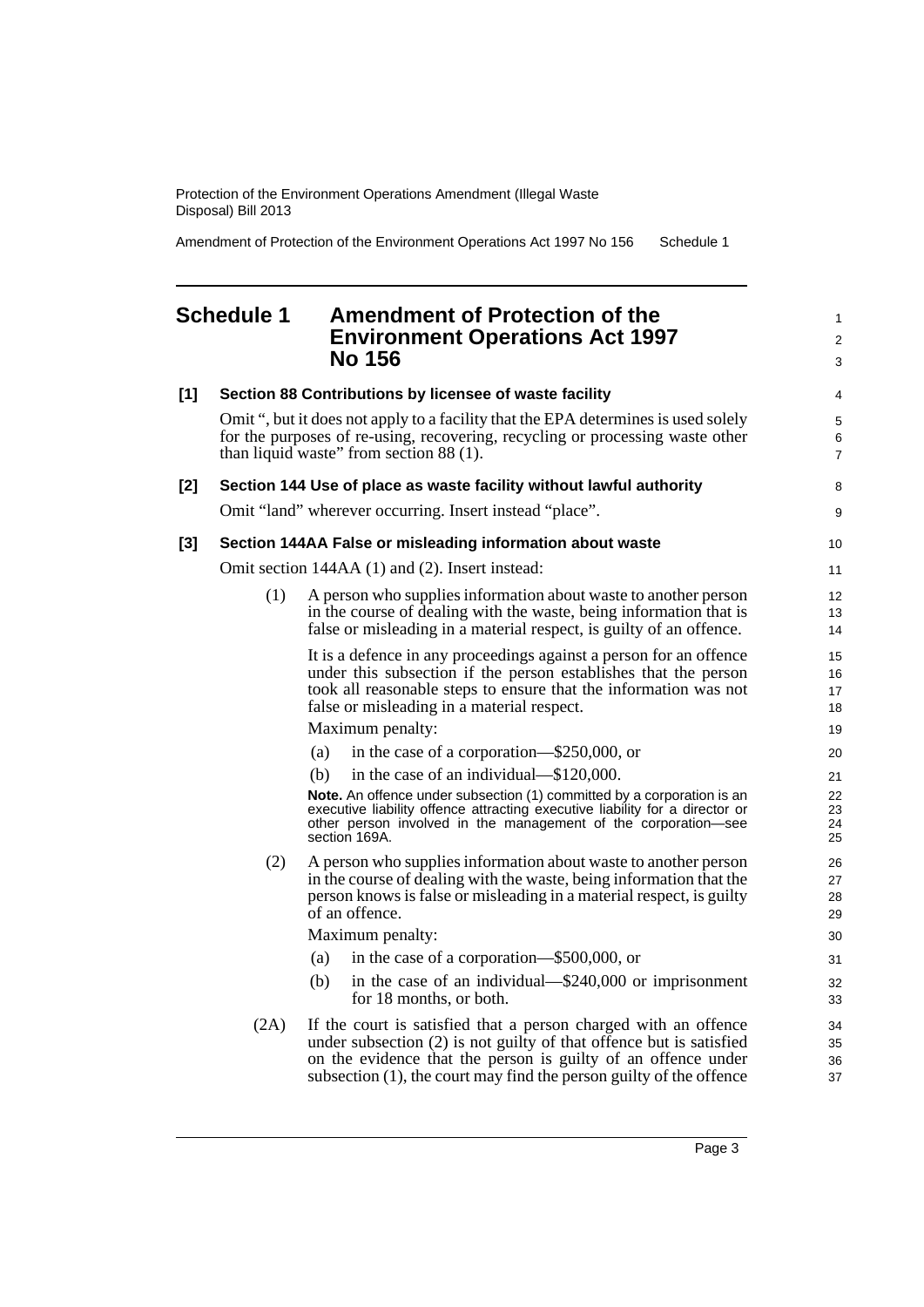Amendment of Protection of the Environment Operations Act 1997 No 156 Schedule 1

### <span id="page-8-0"></span>**Schedule 1 Amendment of Protection of the Environment Operations Act 1997 No 156**

| [1] |      | Section 88 Contributions by licensee of waste facility                                                                                                                                                                                                                            | 4                        |
|-----|------|-----------------------------------------------------------------------------------------------------------------------------------------------------------------------------------------------------------------------------------------------------------------------------------|--------------------------|
|     |      | Omit ", but it does not apply to a facility that the EPA determines is used solely<br>for the purposes of re-using, recovering, recycling or processing waste other<br>than liquid waste" from section 88 (1).                                                                    | 5<br>6<br>$\overline{7}$ |
| [2] |      | Section 144 Use of place as waste facility without lawful authority                                                                                                                                                                                                               | 8                        |
|     |      | Omit "land" wherever occurring. Insert instead "place".                                                                                                                                                                                                                           | 9                        |
| [3] |      | Section 144AA False or misleading information about waste                                                                                                                                                                                                                         | 10                       |
|     |      | Omit section 144AA (1) and (2). Insert instead:                                                                                                                                                                                                                                   | 11                       |
|     | (1)  | A person who supplies information about waste to another person<br>in the course of dealing with the waste, being information that is<br>false or misleading in a material respect, is guilty of an offence.                                                                      | 12<br>13<br>14           |
|     |      | It is a defence in any proceedings against a person for an offence<br>under this subsection if the person establishes that the person<br>took all reasonable steps to ensure that the information was not<br>false or misleading in a material respect.                           | 15<br>16<br>17<br>18     |
|     |      | Maximum penalty:                                                                                                                                                                                                                                                                  | 19                       |
|     |      | (a)<br>in the case of a corporation—\$250,000, or                                                                                                                                                                                                                                 | 20                       |
|     |      | in the case of an individual—\$120,000.<br>(b)                                                                                                                                                                                                                                    | 21                       |
|     |      | Note. An offence under subsection (1) committed by a corporation is an<br>executive liability offence attracting executive liability for a director or<br>other person involved in the management of the corporation-see<br>section 169A.                                         | 22<br>23<br>24<br>25     |
|     | (2)  | A person who supplies information about waste to another person<br>in the course of dealing with the waste, being information that the<br>person knows is false or misleading in a material respect, is guilty<br>of an offence.                                                  | 26<br>27<br>28<br>29     |
|     |      | Maximum penalty:                                                                                                                                                                                                                                                                  | 30                       |
|     |      | in the case of a corporation—\$500,000, or<br>(a)                                                                                                                                                                                                                                 | 31                       |
|     |      | in the case of an individual—\$240,000 or imprisonment<br>(b)<br>for 18 months, or both.                                                                                                                                                                                          | 32<br>33                 |
|     | (2A) | If the court is satisfied that a person charged with an offence<br>under subsection (2) is not guilty of that offence but is satisfied<br>on the evidence that the person is guilty of an offence under<br>subsection $(1)$ , the court may find the person guilty of the offence | 34<br>35<br>36<br>37     |

1 2 3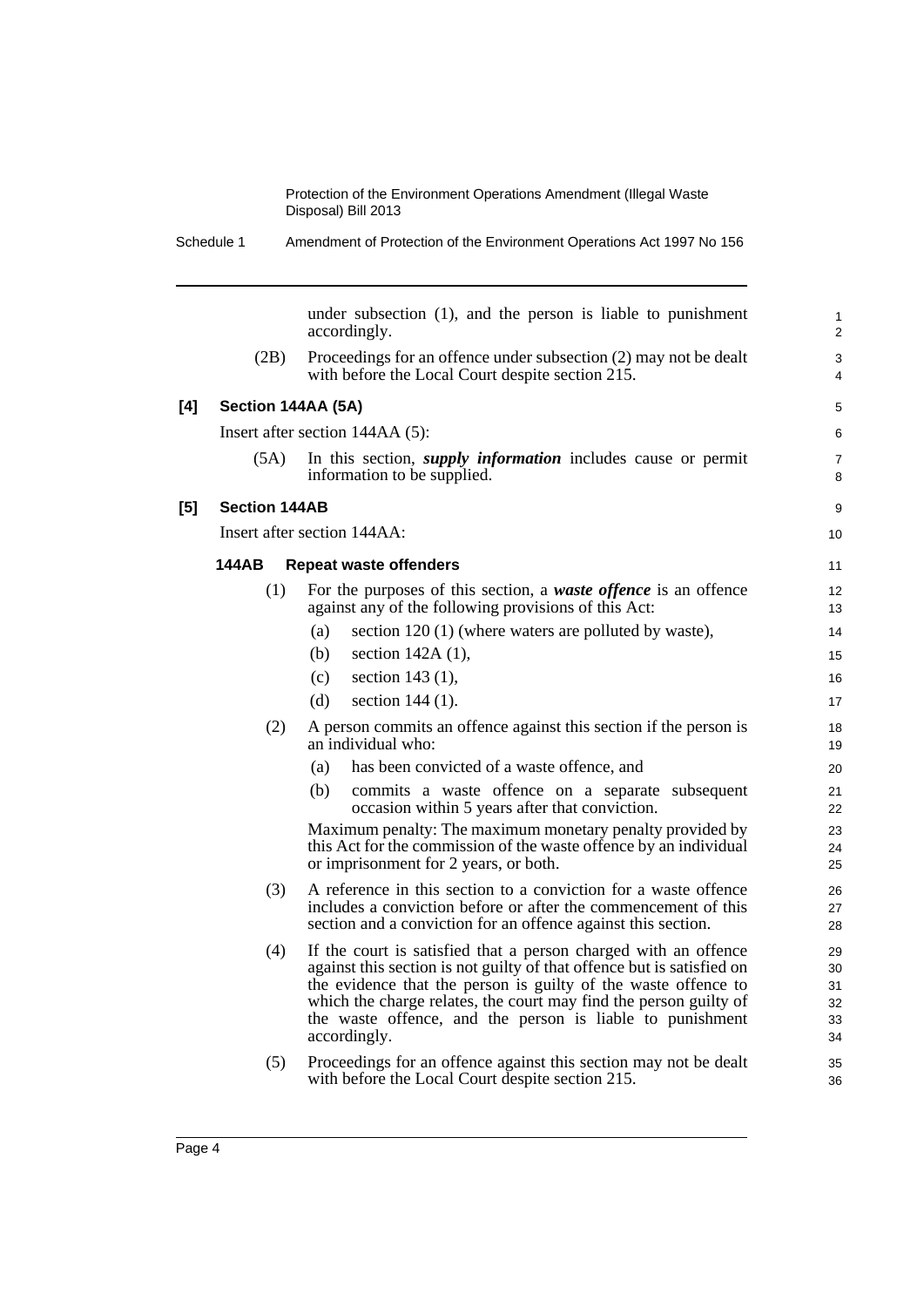|     | Schedule 1           | Amendment of Protection of the Environment Operations Act 1997 No 156                                                                                                                                                                                                                                                                                         |                                  |
|-----|----------------------|---------------------------------------------------------------------------------------------------------------------------------------------------------------------------------------------------------------------------------------------------------------------------------------------------------------------------------------------------------------|----------------------------------|
|     |                      | under subsection (1), and the person is liable to punishment<br>accordingly.                                                                                                                                                                                                                                                                                  | $\mathbf{1}$<br>2                |
|     | (2B)                 | Proceedings for an offence under subsection (2) may not be dealt<br>with before the Local Court despite section 215.                                                                                                                                                                                                                                          | 3<br>4                           |
| [4] | Section 144AA (5A)   |                                                                                                                                                                                                                                                                                                                                                               | 5                                |
|     |                      | Insert after section 144AA (5):                                                                                                                                                                                                                                                                                                                               | 6                                |
|     | (5A)                 | In this section, <i>supply information</i> includes cause or permit<br>information to be supplied.                                                                                                                                                                                                                                                            | $\overline{7}$<br>8              |
| [5] | <b>Section 144AB</b> |                                                                                                                                                                                                                                                                                                                                                               | 9                                |
|     |                      | Insert after section 144AA:                                                                                                                                                                                                                                                                                                                                   | 10                               |
|     | 144AB                | <b>Repeat waste offenders</b>                                                                                                                                                                                                                                                                                                                                 | 11                               |
|     | (1)                  | For the purposes of this section, a waste offence is an offence<br>against any of the following provisions of this Act:                                                                                                                                                                                                                                       | $12 \overline{ }$<br>13          |
|     |                      | section 120 (1) (where waters are polluted by waste),<br>(a)                                                                                                                                                                                                                                                                                                  | 14                               |
|     |                      | section 142A (1),<br>(b)                                                                                                                                                                                                                                                                                                                                      | 15                               |
|     |                      | section $143(1)$ ,<br>(c)                                                                                                                                                                                                                                                                                                                                     | 16                               |
|     |                      | section $144(1)$ .<br>(d)                                                                                                                                                                                                                                                                                                                                     | 17                               |
|     | (2)                  | A person commits an offence against this section if the person is<br>an individual who:                                                                                                                                                                                                                                                                       | 18<br>19                         |
|     |                      | has been convicted of a waste offence, and<br>(a)                                                                                                                                                                                                                                                                                                             | 20                               |
|     |                      | commits a waste offence on a separate subsequent<br>(b)<br>occasion within 5 years after that conviction.                                                                                                                                                                                                                                                     | 21<br>22                         |
|     |                      | Maximum penalty: The maximum monetary penalty provided by<br>this Act for the commission of the waste offence by an individual<br>or imprisonment for 2 years, or both.                                                                                                                                                                                       | 23<br>24<br>25                   |
|     | (3)                  | A reference in this section to a conviction for a waste offence<br>includes a conviction before or after the commencement of this<br>section and a conviction for an offence against this section.                                                                                                                                                            | 26<br>27<br>28                   |
|     | (4)                  | If the court is satisfied that a person charged with an offence<br>against this section is not guilty of that offence but is satisfied on<br>the evidence that the person is guilty of the waste offence to<br>which the charge relates, the court may find the person guilty of<br>the waste offence, and the person is liable to punishment<br>accordingly. | 29<br>30<br>31<br>32<br>33<br>34 |
|     | (5)                  | Proceedings for an offence against this section may not be dealt<br>with before the Local Court despite section 215.                                                                                                                                                                                                                                          | 35<br>36                         |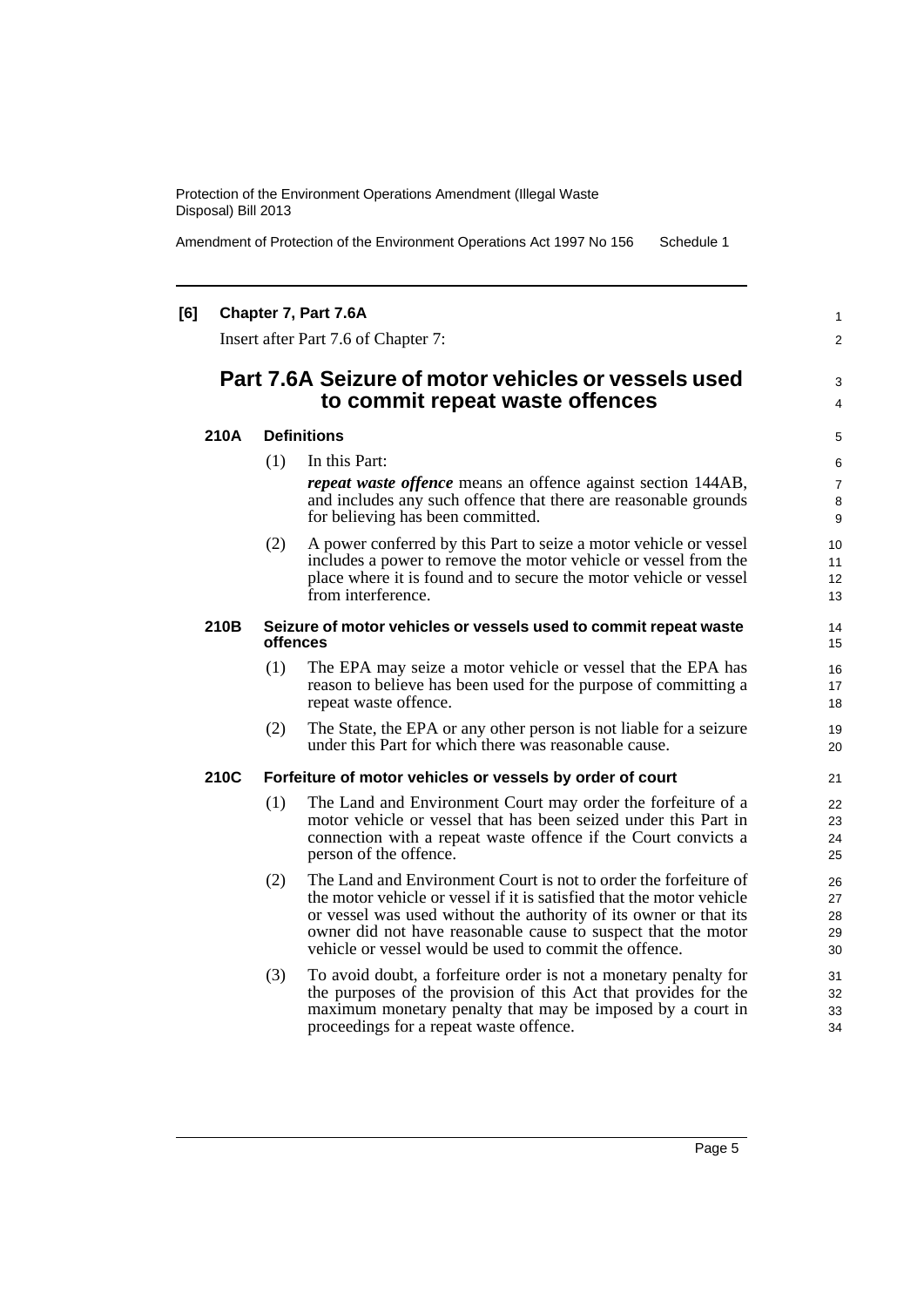Amendment of Protection of the Environment Operations Act 1997 No 156 Schedule 1

#### **[6] Chapter 7, Part 7.6A**

Insert after Part 7.6 of Chapter 7:

### **Part 7.6A Seizure of motor vehicles or vessels used to commit repeat waste offences**

3 4

1  $\mathfrak{p}$ 

#### **210A Definitions**

(1) In this Part:

*repeat waste offence* means an offence against section 144AB, and includes any such offence that there are reasonable grounds for believing has been committed.

(2) A power conferred by this Part to seize a motor vehicle or vessel includes a power to remove the motor vehicle or vessel from the place where it is found and to secure the motor vehicle or vessel from interference.

#### **210B Seizure of motor vehicles or vessels used to commit repeat waste offences**

- (1) The EPA may seize a motor vehicle or vessel that the EPA has reason to believe has been used for the purpose of committing a repeat waste offence.
- (2) The State, the EPA or any other person is not liable for a seizure under this Part for which there was reasonable cause.

#### **210C Forfeiture of motor vehicles or vessels by order of court**

- (1) The Land and Environment Court may order the forfeiture of a motor vehicle or vessel that has been seized under this Part in connection with a repeat waste offence if the Court convicts a person of the offence.
- (2) The Land and Environment Court is not to order the forfeiture of the motor vehicle or vessel if it is satisfied that the motor vehicle or vessel was used without the authority of its owner or that its owner did not have reasonable cause to suspect that the motor vehicle or vessel would be used to commit the offence.
- (3) To avoid doubt, a forfeiture order is not a monetary penalty for the purposes of the provision of this Act that provides for the maximum monetary penalty that may be imposed by a court in proceedings for a repeat waste offence.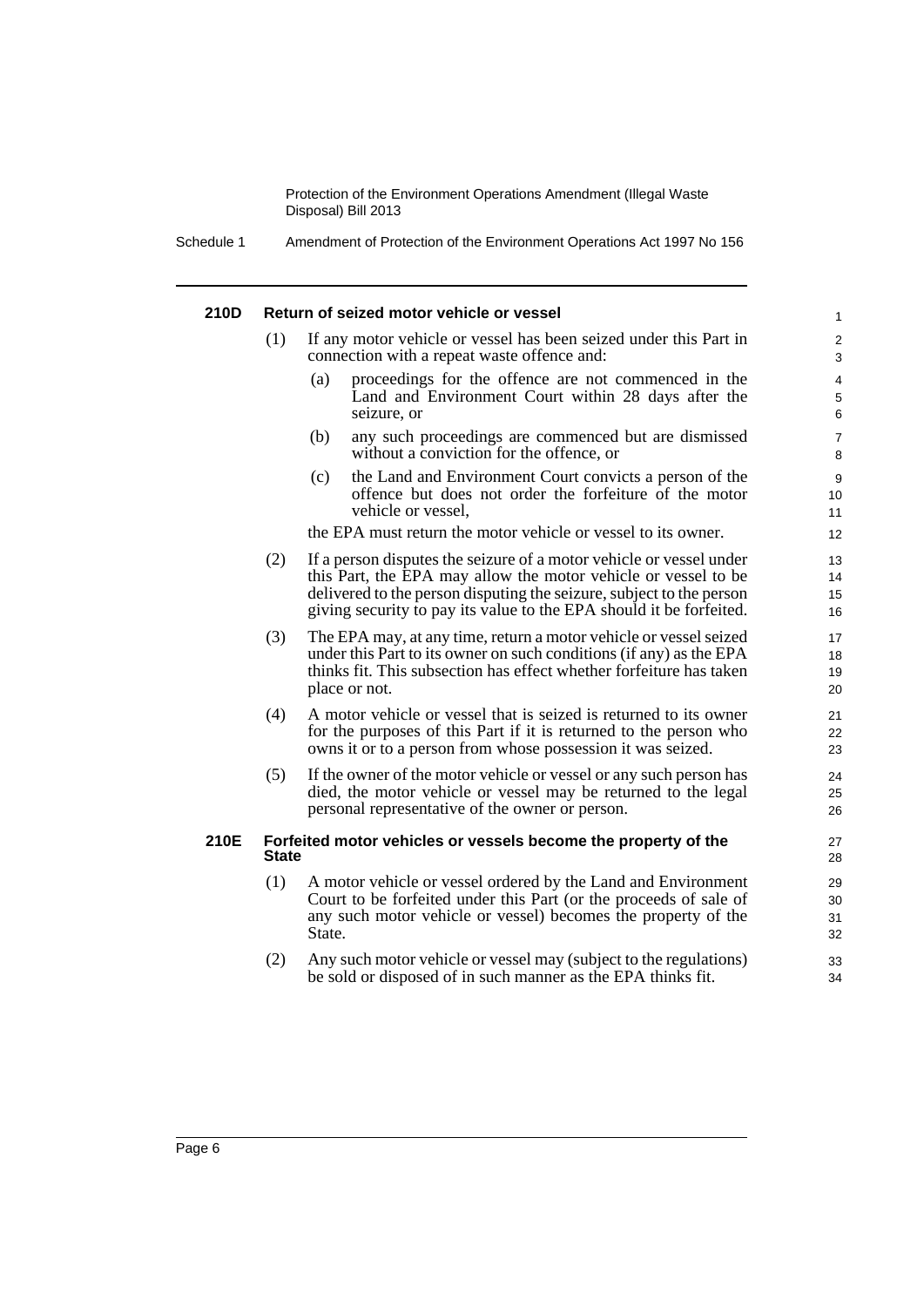Schedule 1 Amendment of Protection of the Environment Operations Act 1997 No 156

#### **210D Return of seized motor vehicle or vessel** If any motor vehicle or vessel has been seized under this Part in connection with a repeat waste offence and: (a) proceedings for the offence are not commenced in the Land and Environment Court within 28 days after the seizure, or (b) any such proceedings are commenced but are dismissed without a conviction for the offence, or (c) the Land and Environment Court convicts a person of the offence but does not order the forfeiture of the motor vehicle or vessel, the EPA must return the motor vehicle or vessel to its owner. (2) If a person disputes the seizure of a motor vehicle or vessel under this Part, the EPA may allow the motor vehicle or vessel to be delivered to the person disputing the seizure, subject to the person giving security to pay its value to the EPA should it be forfeited. (3) The EPA may, at any time, return a motor vehicle or vessel seized under this Part to its owner on such conditions (if any) as the EPA thinks fit. This subsection has effect whether forfeiture has taken place or not. (4) A motor vehicle or vessel that is seized is returned to its owner for the purposes of this Part if it is returned to the person who owns it or to a person from whose possession it was seized. (5) If the owner of the motor vehicle or vessel or any such person has died, the motor vehicle or vessel may be returned to the legal personal representative of the owner or person. **210E Forfeited motor vehicles or vessels become the property of the State** (1) A motor vehicle or vessel ordered by the Land and Environment Court to be forfeited under this Part (or the proceeds of sale of any such motor vehicle or vessel) becomes the property of the State. (2) Any such motor vehicle or vessel may (subject to the regulations) be sold or disposed of in such manner as the EPA thinks fit. 1 2 3 4 5 6 7 8 9 10 11 12 13 14 15 16 17 18 19 20 21 22 23 24 25 26 27 28 29 30 31 32 33  $34$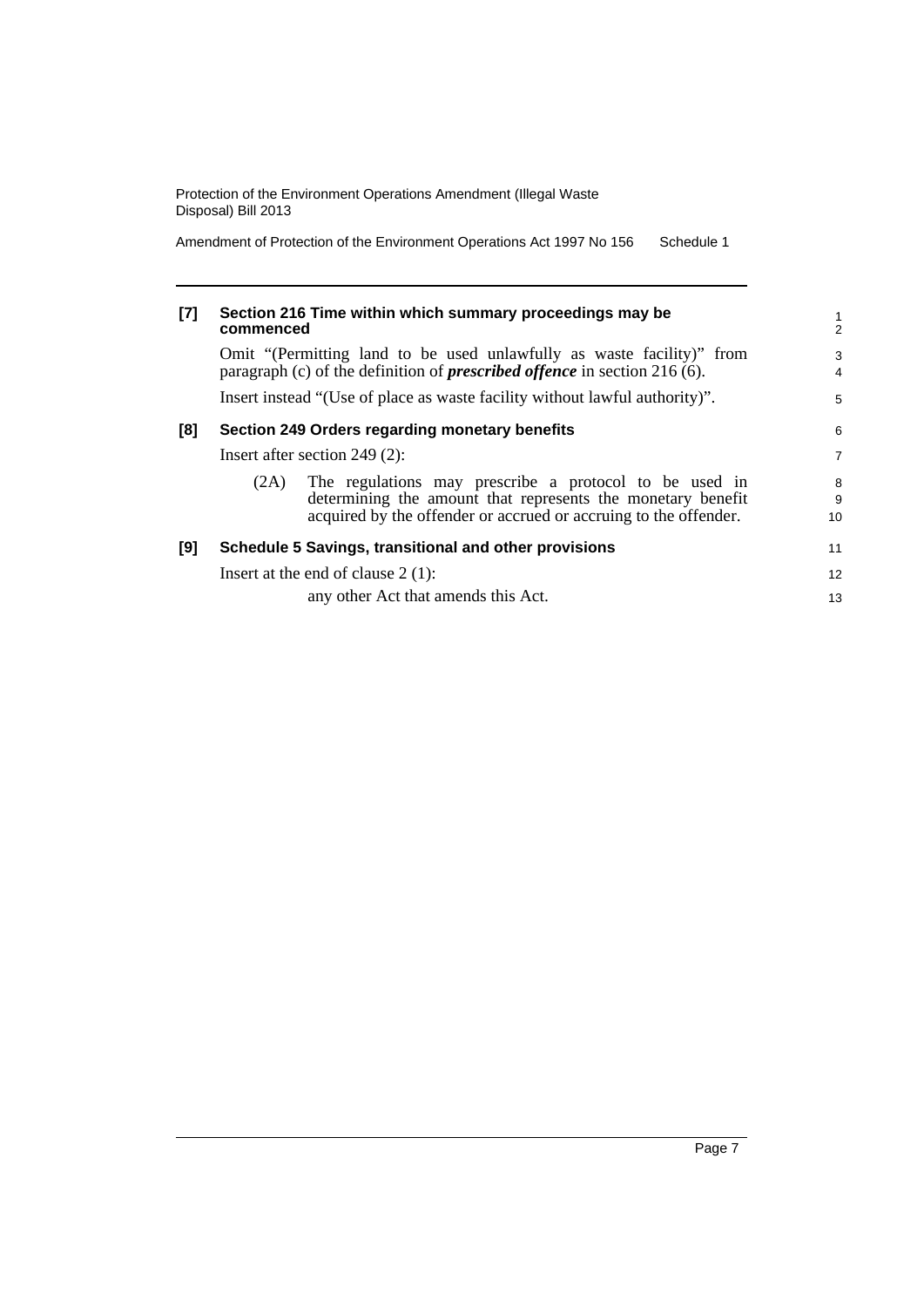Amendment of Protection of the Environment Operations Act 1997 No 156 Schedule 1

| $[7]$ | commenced                                                                                                                                                 | Section 216 Time within which summary proceedings may be                                                                                                                                  | $\frac{1}{2}$  |
|-------|-----------------------------------------------------------------------------------------------------------------------------------------------------------|-------------------------------------------------------------------------------------------------------------------------------------------------------------------------------------------|----------------|
|       | Omit "(Permitting land to be used unlawfully as waste facility)" from<br>paragraph (c) of the definition of <i>prescribed offence</i> in section 216 (6). |                                                                                                                                                                                           |                |
|       |                                                                                                                                                           | Insert instead "(Use of place as waste facility without lawful authority)".                                                                                                               | 5              |
| [8]   |                                                                                                                                                           | Section 249 Orders regarding monetary benefits                                                                                                                                            | 6              |
|       |                                                                                                                                                           | Insert after section 249 $(2)$ :                                                                                                                                                          | $\overline{7}$ |
|       | (2A)                                                                                                                                                      | The regulations may prescribe a protocol to be used in<br>determining the amount that represents the monetary benefit<br>acquired by the offender or accrued or accruing to the offender. | 8<br>9<br>10   |
| [9]   |                                                                                                                                                           | Schedule 5 Savings, transitional and other provisions                                                                                                                                     | 11             |
|       |                                                                                                                                                           | Insert at the end of clause $2(1)$ :                                                                                                                                                      | 12             |
|       |                                                                                                                                                           | any other Act that amends this Act.                                                                                                                                                       | 13             |